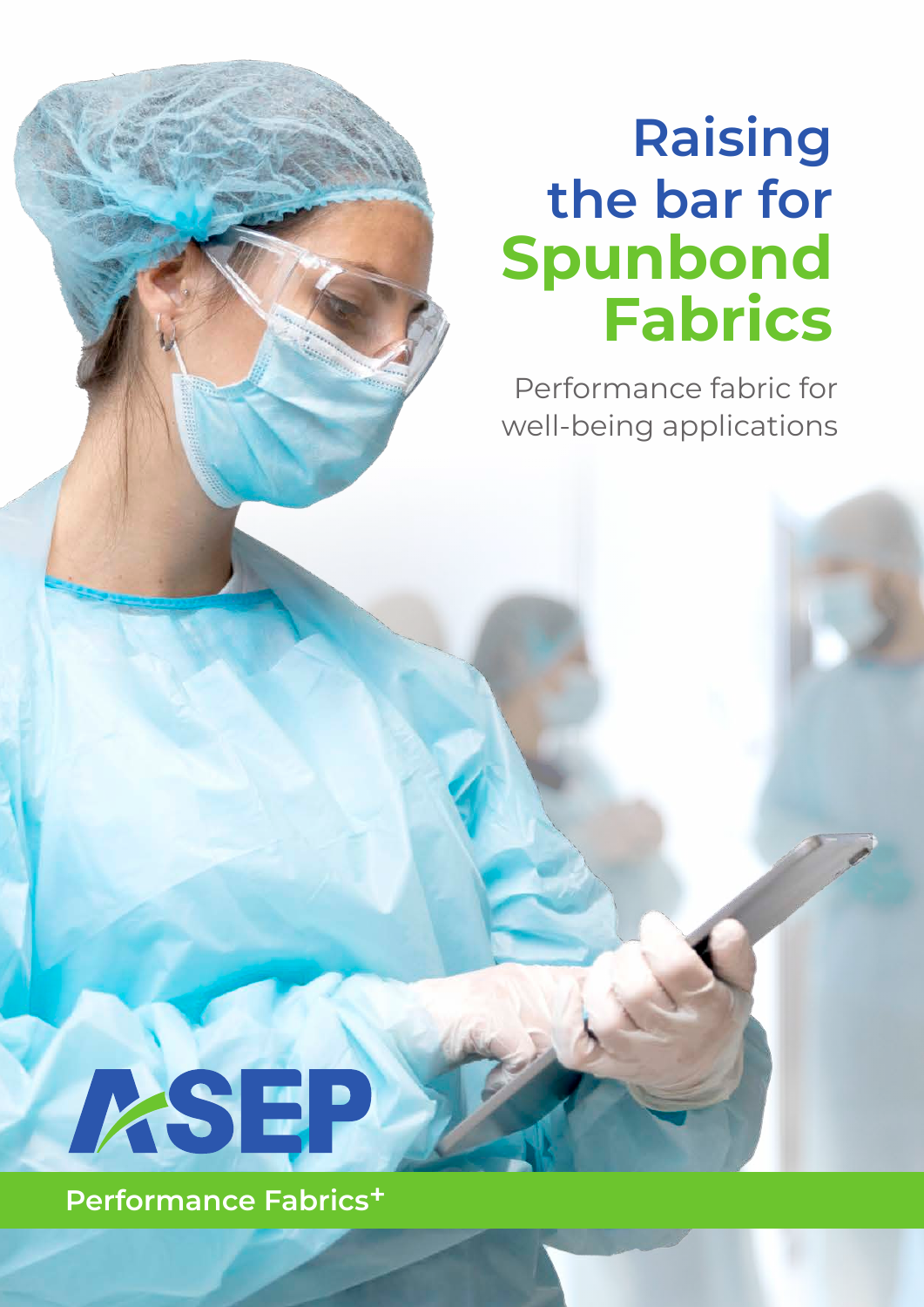# **Raising the bar for Spunbond Fabrics**

Performance fabric for well-being applications



**Performance Fabrics+**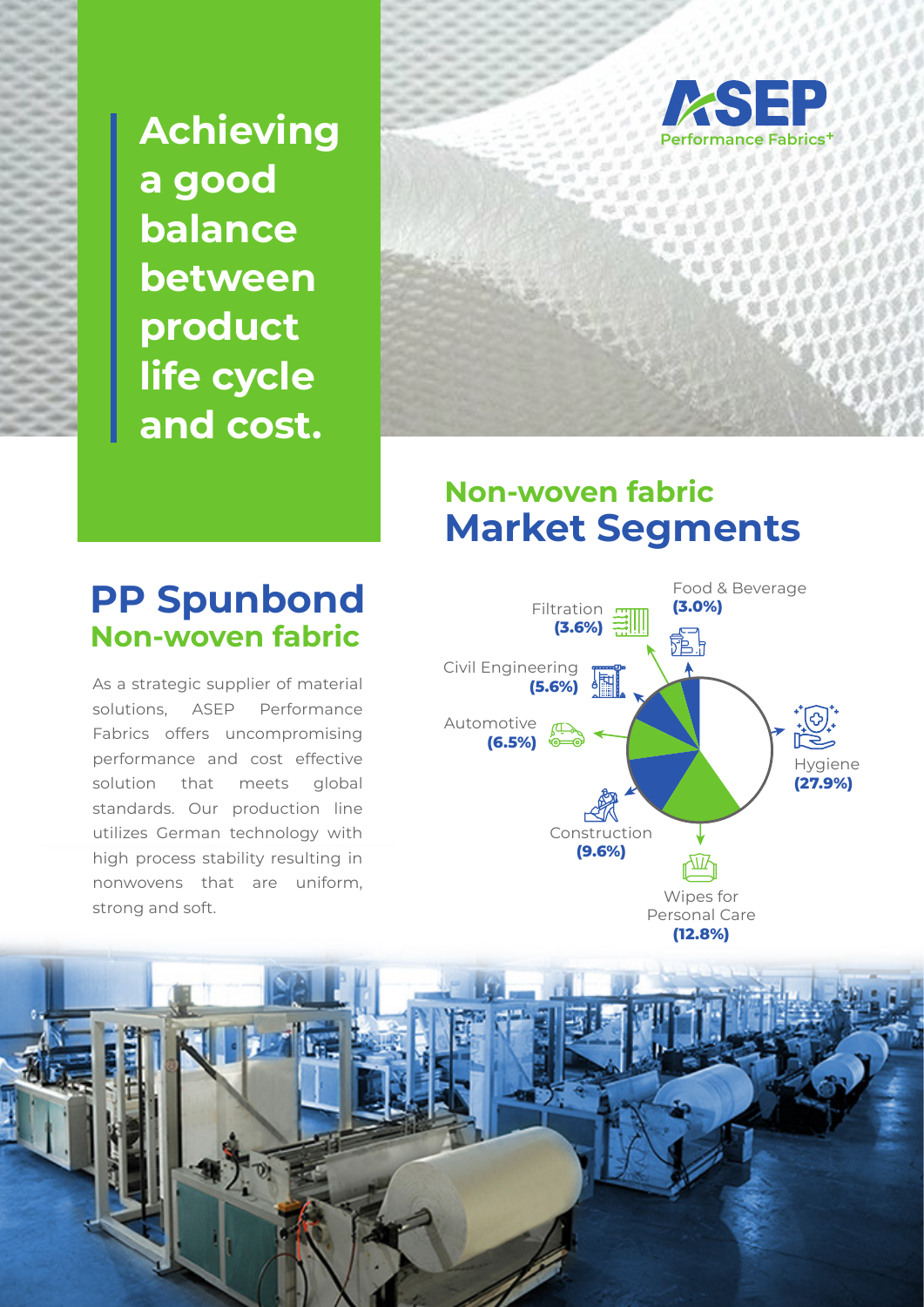**Achieving a good balance between product life cycle and cost.**





### **Non-woven fabric Market Segments**



### **PP Spunbond Non-wover**

As a strategic supplier of material solutions, ASEP Performance Fabrics offers uncompromising performance and cost effective solution that meets global standards. Our production line utilizes German technology with high process stability resulting in nonwovens that are uniform, strong and soft.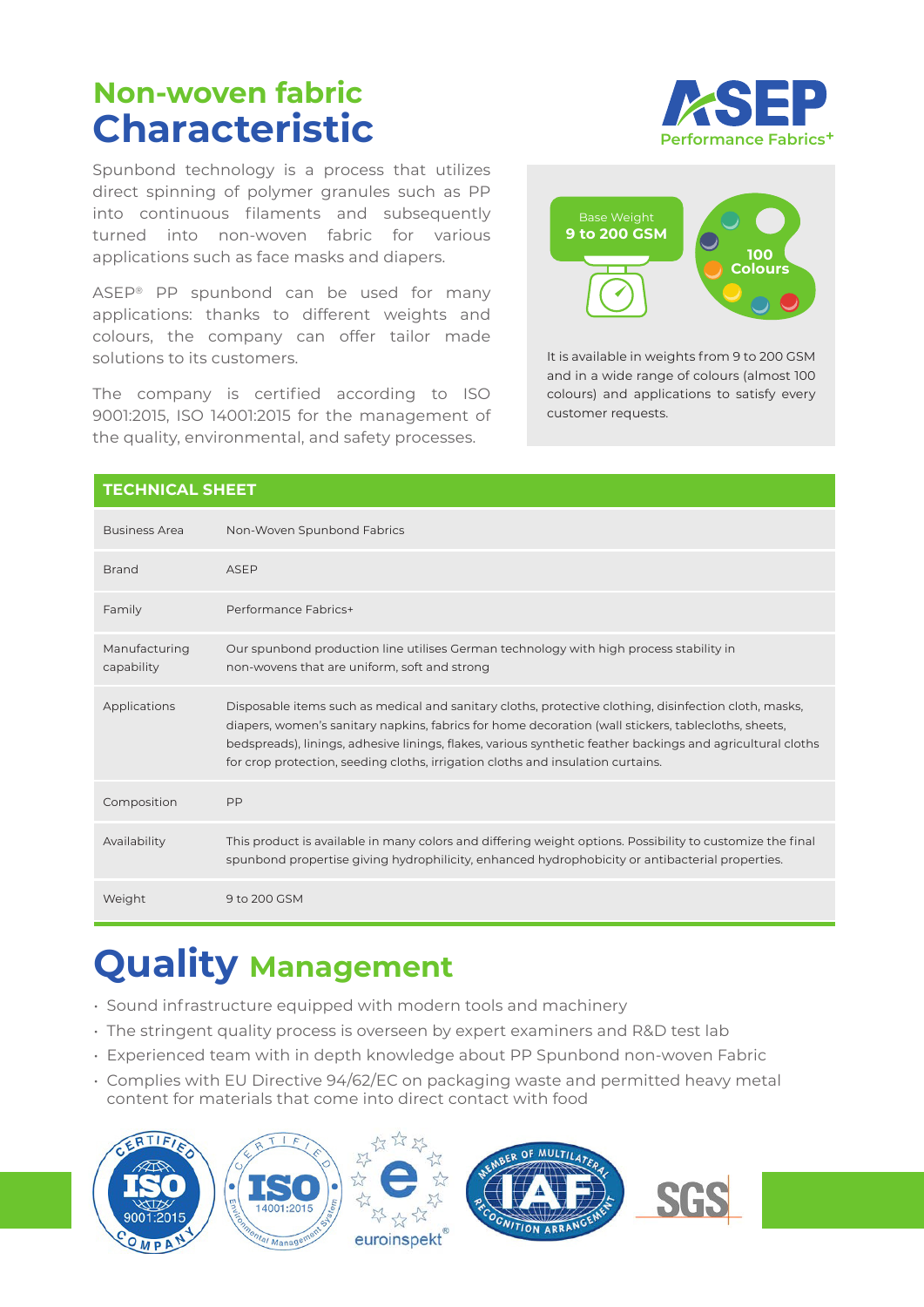## **Non-woven fabric Characteristic**

Spunbond technology is a process that utilizes direct spinning of polymer granules such as PP into continuous filaments and subsequently turned into non-woven fabric for various applications such as face masks and diapers.

ASEP® PP spunbond can be used for many applications: thanks to different weights and colours, the company can offer tailor made solutions to its customers.

The company is certified according to ISO 9001:2015, ISO 14001:2015 for the management of the quality, environmental, and safety processes.





It is available in weights from 9 to 200 GSM and in a wide range of colours (almost 100 colours) and applications to satisfy every customer requests.

#### **TECHNICAL SHEET** Business Area Non-Woven Spunbond Fabrics Brand ASEP Family Performance Fabrics+ Manufacturing capability Our spunbond production line utilises German technology with high process stability in non-wovens that are uniform, soft and strong Applications Disposable items such as medical and sanitary cloths, protective clothing, disinfection cloth, masks, diapers, women's sanitary napkins, fabrics for home decoration (wall stickers, tablecloths, sheets, bedspreads), linings, adhesive linings, flakes, various synthetic feather backings and agricultural cloths for crop protection, seeding cloths, irrigation cloths and insulation curtains. Composition PP Availability This product is available in many colors and differing weight options. Possibility to customize the final spunbond propertise giving hydrophilicity, enhanced hydrophobicity or antibacterial properties. Weight 9 to 200 GSM

## **Quality Management**

- Sound infrastructure equipped with modern tools and machinery
- The stringent quality process is overseen by expert examiners and R&D test lab
- Experienced team with in depth knowledge about PP Spunbond non-woven Fabric
- Complies with EU Directive 94/62/EC on packaging waste and permitted heavy metal content for materials that come into direct contact with food